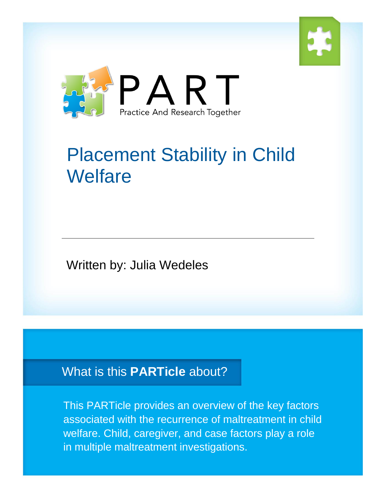



# Placement Stability in Child **Welfare**

Written by: Julia Wedeles

### What is this **PARTicle** about?

This PARTicle provides an overview of the key factors associated with the recurrence of maltreatment in child welfare. Child, caregiver, and case factors play a role in multiple maltreatment investigations.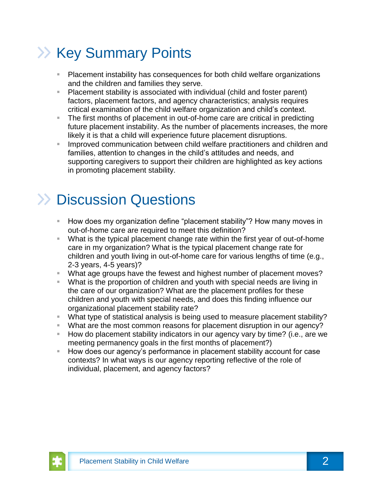## **EXA: Key Summary Points**

- **Placement instability has consequences for both child welfare organizations** and the children and families they serve.
- Placement stability is associated with individual (child and foster parent) factors, placement factors, and agency characteristics; analysis requires critical examination of the child welfare organization and child's context.
- The first months of placement in out-of-home care are critical in predicting future placement instability. As the number of placements increases, the more likely it is that a child will experience future placement disruptions.
- Improved communication between child welfare practitioners and children and families, attention to changes in the child's attitudes and needs, and supporting caregivers to support their children are highlighted as key actions in promoting placement stability.

### >> Discussion Questions

- **How does my organization define "placement stability"? How many moves in** out-of-home care are required to meet this definition?
- What is the typical placement change rate within the first year of out-of-home care in my organization? What is the typical placement change rate for children and youth living in out-of-home care for various lengths of time (e.g., 2-3 years, 4-5 years)?
- What age groups have the fewest and highest number of placement moves?
- What is the proportion of children and youth with special needs are living in the care of our organization? What are the placement profiles for these children and youth with special needs, and does this finding influence our organizational placement stability rate?
- What type of statistical analysis is being used to measure placement stability?
- What are the most common reasons for placement disruption in our agency?
- $\blacksquare$  How do placement stability indicators in our agency vary by time? (i.e., are we meeting permanency goals in the first months of placement?)
- **How does our agency's performance in placement stability account for case** contexts? In what ways is our agency reporting reflective of the role of individual, placement, and agency factors?

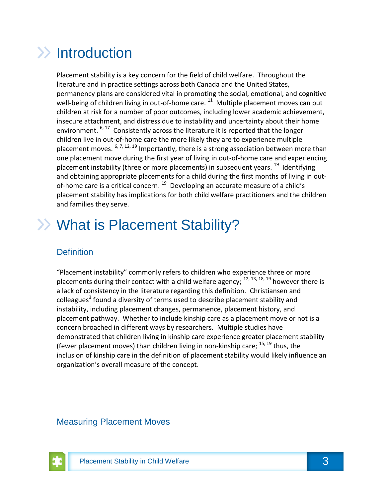## $\gg$  Introduction

Placement stability is a key concern for the field of child welfare. Throughout the literature and in practice settings across both Canada and the United States, permanency plans are considered vital in promoting the social, emotional, and cognitive well-being of children living in out-of-home care.  $^{11}$  Multiple placement moves can put children at risk for a number of poor outcomes, including lower academic achievement, insecure attachment, and distress due to instability and uncertainty about their home environment. <sup>6, 17</sup> Consistently across the literature it is reported that the longer children live in out-of-home care the more likely they are to experience multiple placement moves.  $6, 7, 12, 19$  Importantly, there is a strong association between more than one placement move during the first year of living in out-of-home care and experiencing placement instability (three or more placements) in subsequent years. <sup>19</sup> Identifying and obtaining appropriate placements for a child during the first months of living in outof-home care is a critical concern. <sup>19</sup> Developing an accurate measure of a child's placement stability has implications for both child welfare practitioners and the children and families they serve.

### What is Placement Stability?

#### **Definition**

"Placement instability" commonly refers to children who experience three or more placements during their contact with a child welfare agency; <sup>12, 13, 18, 19</sup> however there is a lack of consistency in the literature regarding this definition. Christiansen and colleagues<sup>3</sup> found a diversity of terms used to describe placement stability and instability, including placement changes, permanence, placement history, and placement pathway. Whether to include kinship care as a placement move or not is a concern broached in different ways by researchers. Multiple studies have demonstrated that children living in kinship care experience greater placement stability (fewer placement moves) than children living in non-kinship care;  $^{15, 19}$  thus, the inclusion of kinship care in the definition of placement stability would likely influence an organization's overall measure of the concept.

#### Measuring Placement Moves

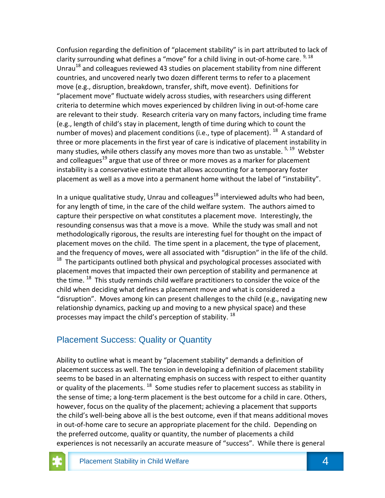Confusion regarding the definition of "placement stability" is in part attributed to lack of clarity surrounding what defines a "move" for a child living in out-of-home care. <sup>9, 18</sup> Unrau<sup>18</sup> and colleagues reviewed 43 studies on placement stability from nine different countries, and uncovered nearly two dozen different terms to refer to a placement move (e.g., disruption, breakdown, transfer, shift, move event). Definitions for "placement move" fluctuate widely across studies, with researchers using different criteria to determine which moves experienced by children living in out-of-home care are relevant to their study. Research criteria vary on many factors, including time frame (e.g., length of child's stay in placement, length of time during which to count the number of moves) and placement conditions (i.e., type of placement). <sup>18</sup> A standard of three or more placements in the first year of care is indicative of placement instability in many studies, while others classify any moves more than two as unstable. <sup>5, 19</sup> Webster and colleagues<sup>19</sup> argue that use of three or more moves as a marker for placement instability is a conservative estimate that allows accounting for a temporary foster placement as well as a move into a permanent home without the label of "instability".

In a unique qualitative study, Unrau and colleagues<sup>18</sup> interviewed adults who had been, for any length of time, in the care of the child welfare system. The authors aimed to capture their perspective on what constitutes a placement move. Interestingly, the resounding consensus was that a move is a move. While the study was small and not methodologically rigorous, the results are interesting fuel for thought on the impact of placement moves on the child. The time spent in a placement, the type of placement, and the frequency of moves, were all associated with "disruption" in the life of the child.  $18$  The participants outlined both physical and psychological processes associated with placement moves that impacted their own perception of stability and permanence at the time.  $^{18}$  This study reminds child welfare practitioners to consider the voice of the child when deciding what defines a placement move and what is considered a "disruption". Moves among kin can present challenges to the child (e.g., navigating new relationship dynamics, packing up and moving to a new physical space) and these processes may impact the child's perception of stability. <sup>18</sup>

#### Placement Success: Quality or Quantity

Ability to outline what is meant by "placement stability" demands a definition of placement success as well. The tension in developing a definition of placement stability seems to be based in an alternating emphasis on success with respect to either quantity or quality of the placements. <sup>18</sup> Some studies refer to placement success as stability in the sense of time; a long-term placement is the best outcome for a child in care. Others, however, focus on the quality of the placement; achieving a placement that supports the child's well-being above all is the best outcome, even if that means additional moves in out-of-home care to secure an appropriate placement for the child. Depending on the preferred outcome, quality or quantity, the number of placements a child experiences is not necessarily an accurate measure of "success". While there is general

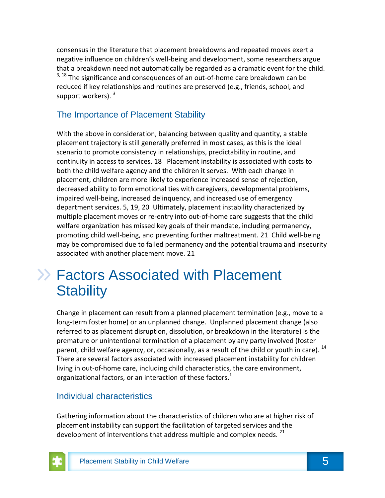consensus in the literature that placement breakdowns and repeated moves exert a negative influence on children's well-being and development, some researchers argue that a breakdown need not automatically be regarded as a dramatic event for the child.  $3, 18$  The significance and consequences of an out-of-home care breakdown can be reduced if key relationships and routines are preserved (e.g., friends, school, and support workers). 3

#### The Importance of Placement Stability

With the above in consideration, balancing between quality and quantity, a stable placement trajectory is still generally preferred in most cases, as this is the ideal scenario to promote consistency in relationships, predictability in routine, and continuity in access to services. 18 Placement instability is associated with costs to both the child welfare agency and the children it serves. With each change in placement, children are more likely to experience increased sense of rejection, decreased ability to form emotional ties with caregivers, developmental problems, impaired well-being, increased delinquency, and increased use of emergency department services. 5, 19, 20 Ultimately, placement instability characterized by multiple placement moves or re-entry into out-of-home care suggests that the child welfare organization has missed key goals of their mandate, including permanency, promoting child well-being, and preventing further maltreatment. 21 Child well-being may be compromised due to failed permanency and the potential trauma and insecurity associated with another placement move. 21

### Factors Associated with Placement **Stability**

Change in placement can result from a planned placement termination (e.g., move to a long-term foster home) or an unplanned change. Unplanned placement change (also referred to as placement disruption, dissolution, or breakdown in the literature) is the premature or unintentional termination of a placement by any party involved (foster parent, child welfare agency, or, occasionally, as a result of the child or youth in care).  $^{14}$ There are several factors associated with increased placement instability for children living in out-of-home care, including child characteristics, the care environment, organizational factors, or an interaction of these factors. $^1$ 

#### Individual characteristics

Gathering information about the characteristics of children who are at higher risk of placement instability can support the facilitation of targeted services and the development of interventions that address multiple and complex needs. <sup>21</sup>

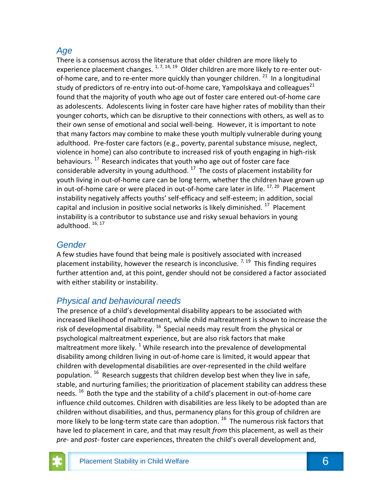#### *Age*

There is a consensus across the literature that older children are more likely to experience placement changes.  $1, 7, 14, 19$  Older children are more likely to re-enter outof-home care, and to re-enter more quickly than younger children. <sup>21</sup> In a longitudinal study of predictors of re-entry into out-of-home care, Yampolskaya and colleagues<sup>21</sup> found that the majority of youth who age out of foster care entered out-of-home care as adolescents. Adolescents living in foster care have higher rates of mobility than their younger cohorts, which can be disruptive to their connections with others, as well as to their own sense of emotional and social well-being. However, it is important to note that many factors may combine to make these youth multiply vulnerable during young adulthood. Pre-foster care factors (e.g., poverty, parental substance misuse, neglect, violence in home) can also contribute to increased risk of youth engaging in high-risk behaviours.<sup>17</sup> Research indicates that youth who age out of foster care face considerable adversity in young adulthood.  $^{17}$  The costs of placement instability for youth living in out-of-home care can be long term, whether the children have grown up in out-of-home care or were placed in out-of-home care later in life.  $17,20$  Placement instability negatively affects youths' self-efficacy and self-esteem; in addition, social capital and inclusion in positive social networks is likely diminished.  $17$  Placement instability is a contributor to substance use and risky sexual behaviors in young adulthood.  $16, 17$ 

#### *Gender*

A few studies have found that being male is positively associated with increased placement instability, however the research is inconclusive.  $7,19$  This finding requires further attention and, at this point, gender should not be considered a factor associated with either stability or instability.

#### *Physical and behavioural needs*

The presence of a child's developmental disability appears to be associated with increased likelihood of maltreatment, while child maltreatment is shown to increase the risk of developmental disability.  $^{16}$  Special needs may result from the physical or psychological maltreatment experience, but are also risk factors that make maltreatment more likely.  $1$  While research into the prevalence of developmental disability among children living in out-of-home care is limited, it would appear that children with developmental disabilities are over-represented in the child welfare population.<sup>16</sup> Research suggests that children develop best when they live in safe, stable, and nurturing families; the prioritization of placement stability can address these needs. <sup>16</sup> Both the type and the stability of a child's placement in out-of-home care influence child outcomes. Children with disabilities are less likely to be adopted than are children without disabilities, and thus, permanency plans for this group of children are more likely to be long-term state care than adoption.  $16$  The numerous risk factors that have led *to* placement in care, and that may result *from* this placement, as well as their *pre-* and *post-* foster care experiences, threaten the child's overall development and,

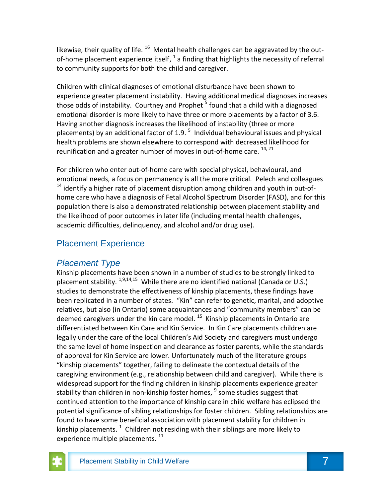likewise, their quality of life.  $^{16}$  Mental health challenges can be aggravated by the outof-home placement experience itself,  $^1$  a finding that highlights the necessity of referral to community supports for both the child and caregiver.

Children with clinical diagnoses of emotional disturbance have been shown to experience greater placement instability. Having additional medical diagnoses increases those odds of instability. Courtney and Prophet <sup>5</sup> found that a child with a diagnosed emotional disorder is more likely to have three or more placements by a factor of 3.6. Having another diagnosis increases the likelihood of instability (three or more placements) by an additional factor of 1.9. <sup>5</sup> Individual behavioural issues and physical health problems are shown elsewhere to correspond with decreased likelihood for reunification and a greater number of moves in out-of-home care.  $^{14, 21}$ 

For children who enter out-of-home care with special physical, behavioural, and emotional needs, a focus on permanency is all the more critical. Pelech and colleagues <sup>14</sup> identify a higher rate of placement disruption among children and youth in out-ofhome care who have a diagnosis of Fetal Alcohol Spectrum Disorder (FASD), and for this population there is also a demonstrated relationship between placement stability and the likelihood of poor outcomes in later life (including mental health challenges, academic difficulties, delinquency, and alcohol and/or drug use).

#### Placement Experience

#### *Placement Type*

Kinship placements have been shown in a number of studies to be strongly linked to placement stability. <sup>1,9,14,15</sup> While there are no identified national (Canada or U.S.) studies to demonstrate the effectiveness of kinship placements, these findings have been replicated in a number of states. "Kin" can refer to genetic, marital, and adoptive relatives, but also (in Ontario) some acquaintances and "community members" can be deemed caregivers under the kin care model. <sup>15</sup> Kinship placements in Ontario are differentiated between Kin Care and Kin Service. In Kin Care placements children are legally under the care of the local Children's Aid Society and caregivers must undergo the same level of home inspection and clearance as foster parents, while the standards of approval for Kin Service are lower. Unfortunately much of the literature groups "kinship placements" together, failing to delineate the contextual details of the caregiving environment (e.g., relationship between child and caregiver). While there is widespread support for the finding children in kinship placements experience greater stability than children in non-kinship foster homes,  $^9$  some studies suggest that continued attention to the importance of kinship care in child welfare has eclipsed the potential significance of sibling relationships for foster children. Sibling relationships are found to have some beneficial association with placement stability for children in kinship placements.  $^{1}$  Children not residing with their siblings are more likely to experience multiple placements.  $^{11}$ 

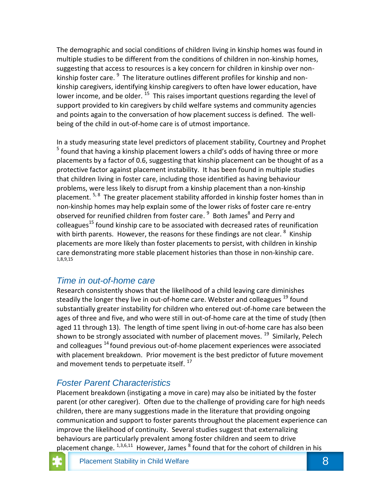The demographic and social conditions of children living in kinship homes was found in multiple studies to be different from the conditions of children in non-kinship homes, suggesting that access to resources is a key concern for children in kinship over nonkinship foster care. <sup>9</sup> The literature outlines different profiles for kinship and nonkinship caregivers, identifying kinship caregivers to often have lower education, have lower income, and be older. <sup>15</sup> This raises important questions regarding the level of support provided to kin caregivers by child welfare systems and community agencies and points again to the conversation of how placement success is defined. The wellbeing of the child in out-of-home care is of utmost importance.

In a study measuring state level predictors of placement stability, Courtney and Prophet <sup>5</sup> found that having a kinship placement lowers a child's odds of having three or more placements by a factor of 0.6, suggesting that kinship placement can be thought of as a protective factor against placement instability. It has been found in multiple studies that children living in foster care, including those identified as having behaviour problems, were less likely to disrupt from a kinship placement than a non-kinship placement. <sup>5, 8</sup> The greater placement stability afforded in kinship foster homes than in non-kinship homes may help explain some of the lower risks of foster care re-entry observed for reunified children from foster care. <sup>9</sup> Both James<sup>8</sup> and Perry and colleagues<sup>15</sup> found kinship care to be associated with decreased rates of reunification with birth parents. However, the reasons for these findings are not clear.  $^8$  Kinship placements are more likely than foster placements to persist, with children in kinship care demonstrating more stable placement histories than those in non-kinship care. 1,8,9,15

#### *Time in out-of-home care*

Research consistently shows that the likelihood of a child leaving care diminishes steadily the longer they live in out-of-home care. Webster and colleagues <sup>19</sup> found substantially greater instability for children who entered out-of-home care between the ages of three and five, and who were still in out-of-home care at the time of study (then aged 11 through 13). The length of time spent living in out-of-home care has also been shown to be strongly associated with number of placement moves.<sup>19</sup> Similarly, Pelech and colleagues <sup>14</sup> found previous out-of-home placement experiences were associated with placement breakdown. Prior movement is the best predictor of future movement and movement tends to perpetuate itself.<sup>17</sup>

#### *Foster Parent Characteristics*

Placement breakdown (instigating a move in care) may also be initiated by the foster parent (or other caregiver). Often due to the challenge of providing care for high needs children, there are many suggestions made in the literature that providing ongoing communication and support to foster parents throughout the placement experience can improve the likelihood of continuity. Several studies suggest that externalizing behaviours are particularly prevalent among foster children and seem to drive placement change. <sup>1,3,6,11</sup> However, James <sup>8</sup> found that for the cohort of children in his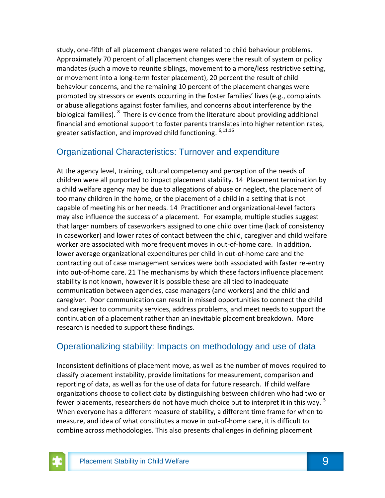study, one-fifth of all placement changes were related to child behaviour problems. Approximately 70 percent of all placement changes were the result of system or policy mandates (such a move to reunite siblings, movement to a more/less restrictive setting, or movement into a long-term foster placement), 20 percent the result of child behaviour concerns, and the remaining 10 percent of the placement changes were prompted by stressors or events occurring in the foster families' lives (e.g., complaints or abuse allegations against foster families, and concerns about interference by the biological families). <sup>8</sup> There is evidence from the literature about providing additional financial and emotional support to foster parents translates into higher retention rates, greater satisfaction, and improved child functioning. <sup>6,11,16</sup>

#### Organizational Characteristics: Turnover and expenditure

At the agency level, training, cultural competency and perception of the needs of children were all purported to impact placement stability. 14 Placement termination by a child welfare agency may be due to allegations of abuse or neglect, the placement of too many children in the home, or the placement of a child in a setting that is not capable of meeting his or her needs. 14 Practitioner and organizational-level factors may also influence the success of a placement. For example, multiple studies suggest that larger numbers of caseworkers assigned to one child over time (lack of consistency in caseworker) and lower rates of contact between the child, caregiver and child welfare worker are associated with more frequent moves in out-of-home care. In addition, lower average organizational expenditures per child in out-of-home care and the contracting out of case management services were both associated with faster re-entry into out-of-home care. 21 The mechanisms by which these factors influence placement stability is not known, however it is possible these are all tied to inadequate communication between agencies, case managers (and workers) and the child and caregiver. Poor communication can result in missed opportunities to connect the child and caregiver to community services, address problems, and meet needs to support the continuation of a placement rather than an inevitable placement breakdown. More research is needed to support these findings.

#### Operationalizing stability: Impacts on methodology and use of data

Inconsistent definitions of placement move, as well as the number of moves required to classify placement instability, provide limitations for measurement, comparison and reporting of data, as well as for the use of data for future research. If child welfare organizations choose to collect data by distinguishing between children who had two or fewer placements, researchers do not have much choice but to interpret it in this way. <sup>5</sup> When everyone has a different measure of stability, a different time frame for when to measure, and idea of what constitutes a move in out-of-home care, it is difficult to combine across methodologies. This also presents challenges in defining placement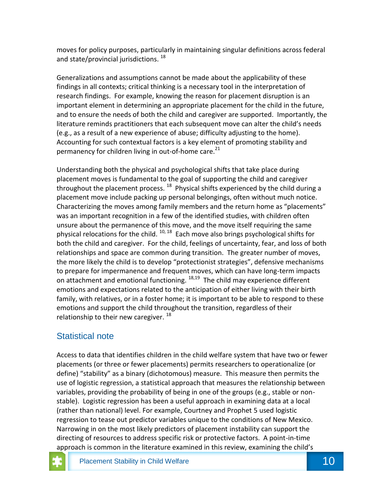moves for policy purposes, particularly in maintaining singular definitions across federal and state/provincial jurisdictions.<sup>18</sup>

Generalizations and assumptions cannot be made about the applicability of these findings in all contexts; critical thinking is a necessary tool in the interpretation of research findings. For example, knowing the reason for placement disruption is an important element in determining an appropriate placement for the child in the future, and to ensure the needs of both the child and caregiver are supported. Importantly, the literature reminds practitioners that each subsequent move can alter the child's needs (e.g., as a result of a new experience of abuse; difficulty adjusting to the home). Accounting for such contextual factors is a key element of promoting stability and permanency for children living in out-of-home care. $^{21}$ 

Understanding both the physical and psychological shifts that take place during placement moves is fundamental to the goal of supporting the child and caregiver throughout the placement process. <sup>18</sup> Physical shifts experienced by the child during a placement move include packing up personal belongings, often without much notice. Characterizing the moves among family members and the return home as "placements" was an important recognition in a few of the identified studies, with children often unsure about the permanence of this move, and the move itself requiring the same physical relocations for the child. <sup>10, 18</sup> Each move also brings psychological shifts for both the child and caregiver. For the child, feelings of uncertainty, fear, and loss of both relationships and space are common during transition. The greater number of moves, the more likely the child is to develop "protectionist strategies", defensive mechanisms to prepare for impermanence and frequent moves, which can have long-term impacts on attachment and emotional functioning.  $^{18,19}$  The child may experience different emotions and expectations related to the anticipation of either living with their birth family, with relatives, or in a foster home; it is important to be able to respond to these emotions and support the child throughout the transition, regardless of their relationship to their new caregiver.<sup>18</sup>

#### Statistical note

Access to data that identifies children in the child welfare system that have two or fewer placements (or three or fewer placements) permits researchers to operationalize (or define) "stability" as a binary (dichotomous) measure. This measure then permits the use of logistic regression, a statistical approach that measures the relationship between variables, providing the probability of being in one of the groups (e.g., stable or nonstable). Logistic regression has been a useful approach in examining data at a local (rather than national) level. For example, Courtney and Prophet 5 used logistic regression to tease out predictor variables unique to the conditions of New Mexico. Narrowing in on the most likely predictors of placement instability can support the directing of resources to address specific risk or protective factors. A point-in-time approach is common in the literature examined in this review, examining the child's

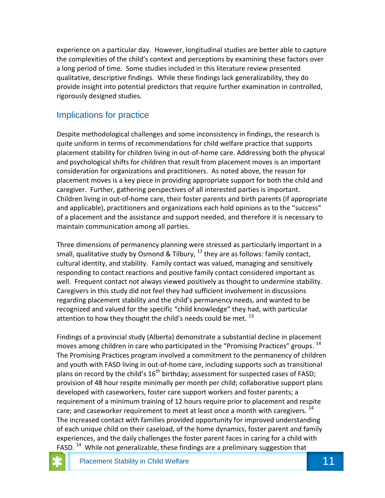experience on a particular day. However, longitudinal studies are better able to capture the complexities of the child's context and perceptions by examining these factors over a long period of time. Some studies included in this literature review presented qualitative, descriptive findings. While these findings lack generalizability, they do provide insight into potential predictors that require further examination in controlled, rigorously designed studies.

#### Implications for practice

Despite methodological challenges and some inconsistency in findings, the research is quite uniform in terms of recommendations for child welfare practice that supports placement stability for children living in out-of-home care. Addressing both the physical and psychological shifts for children that result from placement moves is an important consideration for organizations and practitioners. As noted above, the reason for placement moves is a key piece in providing appropriate support for both the child and caregiver. Further, gathering perspectives of all interested parties is important. Children living in out-of-home care, their foster parents and birth parents (if appropriate and applicable), practitioners and organizations each hold opinions as to the "success" of a placement and the assistance and support needed, and therefore it is necessary to maintain communication among all parties.

Three dimensions of permanency planning were stressed as particularly important in a small, qualitative study by Osmond & Tilbury,  $^{13}$  they are as follows: family contact, cultural identity, and stability. Family contact was valued, managing and sensitively responding to contact reactions and positive family contact considered important as well. Frequent contact not always viewed positively as thought to undermine stability. Caregivers in this study did not feel they had sufficient involvement in discussions regarding placement stability and the child's permanency needs, and wanted to be recognized and valued for the specific "child knowledge" they had, with particular attention to how they thought the child's needs could be met.  $^{13}$ 

Findings of a provincial study (Alberta) demonstrate a substantial decline in placement moves among children in care who participated in the "Promising Practices" groups. <sup>14</sup> The Promising Practices program involved a commitment to the permanency of children and youth with FASD living in out-of-home care, including supports such as transitional plans on record by the child's  $16<sup>th</sup>$  birthday; assessment for suspected cases of FASD; provision of 48 hour respite minimally per month per child; collaborative support plans developed with caseworkers, foster care support workers and foster parents; a requirement of a minimum training of 12 hours require prior to placement and respite care; and caseworker requirement to meet at least once a month with caregivers.  $14$ The increased contact with families provided opportunity for improved understanding of each unique child on their caseload, of the home dynamics, foster parent and family experiences, and the daily challenges the foster parent faces in caring for a child with FASD.  $14$  While not generalizable, these findings are a preliminary suggestion that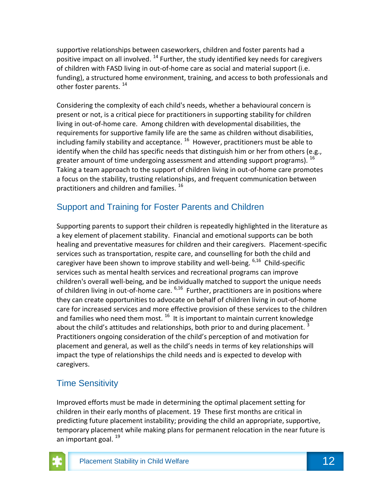supportive relationships between caseworkers, children and foster parents had a positive impact on all involved.<sup>14</sup> Further, the study identified key needs for caregivers of children with FASD living in out-of-home care as social and material support (i.e. funding), a structured home environment, training, and access to both professionals and other foster parents.<sup>14</sup>

Considering the complexity of each child's needs, whether a behavioural concern is present or not, is a critical piece for practitioners in supporting stability for children living in out-of-home care. Among children with developmental disabilities, the requirements for supportive family life are the same as children without disabilities, including family stability and acceptance.  $16$  However, practitioners must be able to identify when the child has specific needs that distinguish him or her from others (e.g., greater amount of time undergoing assessment and attending support programs).  $^{16}$ Taking a team approach to the support of children living in out-of-home care promotes a focus on the stability, trusting relationships, and frequent communication between practitioners and children and families.  $^{16}$ 

#### Support and Training for Foster Parents and Children

Supporting parents to support their children is repeatedly highlighted in the literature as a key element of placement stability. Financial and emotional supports can be both healing and preventative measures for children and their caregivers. Placement-specific services such as transportation, respite care, and counselling for both the child and caregiver have been shown to improve stability and well-being. <sup>6,16</sup> Child-specific services such as mental health services and recreational programs can improve children's overall well-being, and be individually matched to support the unique needs of children living in out-of-home care. <sup>6,16</sup> Further, practitioners are in positions where they can create opportunities to advocate on behalf of children living in out-of-home care for increased services and more effective provision of these services to the children and families who need them most.  $^{16}$  It is important to maintain current knowledge about the child's attitudes and relationships, both prior to and during placement.  $3$ Practitioners ongoing consideration of the child's perception of and motivation for placement and general, as well as the child's needs in terms of key relationships will impact the type of relationships the child needs and is expected to develop with caregivers.

#### Time Sensitivity

Improved efforts must be made in determining the optimal placement setting for children in their early months of placement. 19 These first months are critical in predicting future placement instability; providing the child an appropriate, supportive, temporary placement while making plans for permanent relocation in the near future is an important goal.<sup>19</sup>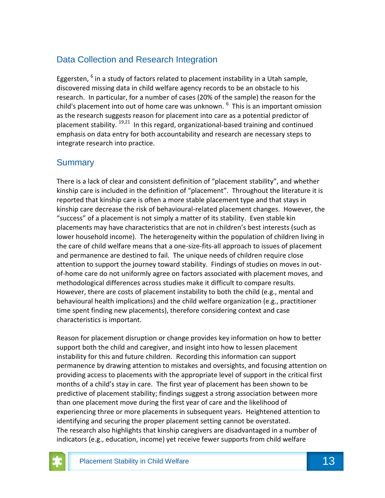#### Data Collection and Research Integration

Eggersten, <sup>6</sup> in a study of factors related to placement instability in a Utah sample, discovered missing data in child welfare agency records to be an obstacle to his research. In particular, for a number of cases (20% of the sample) the reason for the child's placement into out of home care was unknown. <sup>6</sup> This is an important omission as the research suggests reason for placement into care as a potential predictor of placement stability. <sup>19,21</sup> In this regard, organizational-based training and continued emphasis on data entry for both accountability and research are necessary steps to integrate research into practice.

#### **Summary**

There is a lack of clear and consistent definition of "placement stability", and whether kinship care is included in the definition of "placement". Throughout the literature it is reported that kinship care is often a more stable placement type and that stays in kinship care decrease the risk of behavioural-related placement changes. However, the "success" of a placement is not simply a matter of its stability. Even stable kin placements may have characteristics that are not in children's best interests (such as lower household income). The heterogeneity within the population of children living in the care of child welfare means that a one-size-fits-all approach to issues of placement and permanence are destined to fail. The unique needs of children require close attention to support the journey toward stability. Findings of studies on moves in outof-home care do not uniformly agree on factors associated with placement moves, and methodological differences across studies make it difficult to compare results. However, there are costs of placement instability to both the child (e.g., mental and behavioural health implications) and the child welfare organization (e.g., practitioner time spent finding new placements), therefore considering context and case characteristics is important.

Reason for placement disruption or change provides key information on how to better support both the child and caregiver, and insight into how to lessen placement instability for this and future children. Recording this information can support permanence by drawing attention to mistakes and oversights, and focusing attention on providing access to placements with the appropriate level of support in the critical first months of a child's stay in care. The first year of placement has been shown to be predictive of placement stability; findings suggest a strong association between more than one placement move during the first year of care and the likelihood of experiencing three or more placements in subsequent years. Heightened attention to identifying and securing the proper placement setting cannot be overstated. The research also highlights that kinship caregivers are disadvantaged in a number of indicators (e.g., education, income) yet receive fewer supports from child welfare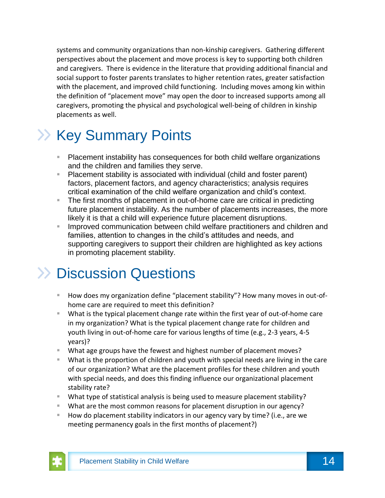systems and community organizations than non-kinship caregivers. Gathering different perspectives about the placement and move process is key to supporting both children and caregivers. There is evidence in the literature that providing additional financial and social support to foster parents translates to higher retention rates, greater satisfaction with the placement, and improved child functioning. Including moves among kin within the definition of "placement move" may open the door to increased supports among all caregivers, promoting the physical and psychological well-being of children in kinship placements as well.

## XX Key Summary Points

- **Placement instability has consequences for both child welfare organizations** and the children and families they serve.
- Placement stability is associated with individual (child and foster parent) factors, placement factors, and agency characteristics; analysis requires critical examination of the child welfare organization and child's context.
- The first months of placement in out-of-home care are critical in predicting future placement instability. As the number of placements increases, the more likely it is that a child will experience future placement disruptions.
- **Improved communication between child welfare practitioners and children and** families, attention to changes in the child's attitudes and needs, and supporting caregivers to support their children are highlighted as key actions in promoting placement stability.

### **EXECUTE:** Discussion Questions

- How does my organization define "placement stability"? How many moves in out-ofhome care are required to meet this definition?
- What is the typical placement change rate within the first year of out-of-home care in my organization? What is the typical placement change rate for children and youth living in out-of-home care for various lengths of time (e.g., 2-3 years, 4-5 years)?
- What age groups have the fewest and highest number of placement moves?
- What is the proportion of children and youth with special needs are living in the care of our organization? What are the placement profiles for these children and youth with special needs, and does this finding influence our organizational placement stability rate?
- What type of statistical analysis is being used to measure placement stability?
- What are the most common reasons for placement disruption in our agency?
- $\blacksquare$  How do placement stability indicators in our agency vary by time? (i.e., are we meeting permanency goals in the first months of placement?)

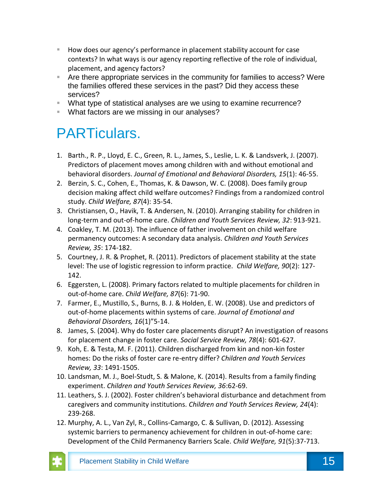- How does our agency's performance in placement stability account for case contexts? In what ways is our agency reporting reflective of the role of individual, placement, and agency factors?
- Are there appropriate services in the community for families to access? Were the families offered these services in the past? Did they access these services?
- What type of statistical analyses are we using to examine recurrence?
- What factors are we missing in our analyses?

### PARTiculars.

- 1. Barth., R. P., Lloyd, E. C., Green, R. L., James, S., Leslie, L. K. & Landsverk, J. (2007). Predictors of placement moves among children with and without emotional and behavioral disorders. *Journal of Emotional and Behavioral Disorders, 15*(1): 46-55.
- 2. Berzin, S. C., Cohen, E., Thomas, K. & Dawson, W. C. (2008). Does family group decision making affect child welfare outcomes? Findings from a randomized control study. *Child Welfare, 87*(4): 35-54.
- 3. Christiansen, O., Havik, T. & Andersen, N. (2010). Arranging stability for children in long-term and out-of-home care. *Children and Youth Services Review, 32*: 913-921.
- 4. Coakley, T. M. (2013). The influence of father involvement on child welfare permanency outcomes: A secondary data analysis. *Children and Youth Services Review, 35*: 174-182.
- 5. Courtney, J. R. & Prophet, R. (2011). Predictors of placement stability at the state level: The use of logistic regression to inform practice. *Child Welfare, 90*(2): 127- 142.
- 6. Eggersten, L. (2008). Primary factors related to multiple placements for children in out-of-home care. *Child Welfare, 87*(6): 71-90.
- 7. Farmer, E., Mustillo, S., Burns, B. J. & Holden, E. W. (2008). Use and predictors of out-of-home placements within systems of care. *Journal of Emotional and Behavioral Disorders, 16*(1)"5-14.
- 8. James, S. (2004). Why do foster care placements disrupt? An investigation of reasons for placement change in foster care. *Social Service Review, 78*(4): 601-627.
- 9. Koh, E. & Testa, M. F. (2011). Children discharged from kin and non-kin foster homes: Do the risks of foster care re-entry differ? *Children and Youth Services Review, 33*: 1491-1505.
- 10. Landsman, M. J., Boel-Studt, S. & Malone, K. (2014). Results from a family finding experiment. *Children and Youth Services Review, 36*:62-69.
- 11. Leathers, S. J. (2002). Foster children's behavioral disturbance and detachment from caregivers and community institutions. *Children and Youth Services Review, 24*(4): 239-268.
- 12. Murphy, A. L., Van Zyl, R., Collins-Camargo, C. & Sullivan, D. (2012). Assessing systemic barriers to permanency achievement for children in out-of-home care: Development of the Child Permanency Barriers Scale. *Child Welfare, 91*(5):37-713.